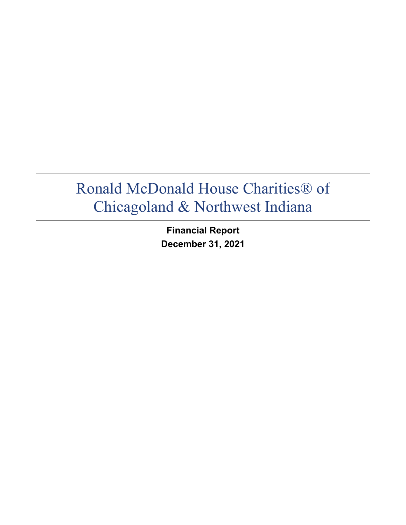**Financial Report December 31, 2021**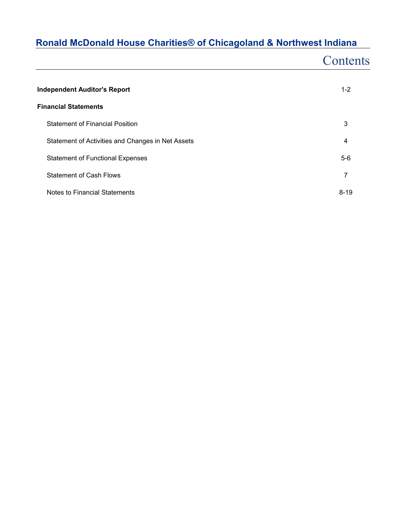|                                                   | <b>Contents</b> |
|---------------------------------------------------|-----------------|
| <b>Independent Auditor's Report</b>               | $1 - 2$         |
| <b>Financial Statements</b>                       |                 |
| <b>Statement of Financial Position</b>            | 3               |
| Statement of Activities and Changes in Net Assets | 4               |
| <b>Statement of Functional Expenses</b>           | $5-6$           |
| <b>Statement of Cash Flows</b>                    | 7               |
| <b>Notes to Financial Statements</b>              | $8 - 19$        |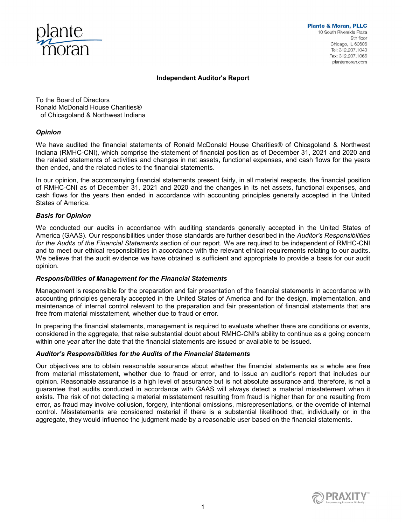

#### **Independent Auditor's Report**

To the Board of Directors Ronald McDonald House Charities® of Chicagoland & Northwest Indiana

#### *Opinion*

We have audited the financial statements of Ronald McDonald House Charities® of Chicagoland & Northwest Indiana (RMHC-CNI), which comprise the statement of financial position as of December 31, 2021 and 2020 and the related statements of activities and changes in net assets, functional expenses, and cash flows for the years then ended, and the related notes to the financial statements.

In our opinion, the accompanying financial statements present fairly, in all material respects, the financial position of RMHC-CNI as of December 31, 2021 and 2020 and the changes in its net assets, functional expenses, and cash flows for the years then ended in accordance with accounting principles generally accepted in the United States of America.

#### *Basis for Opinion*

We conducted our audits in accordance with auditing standards generally accepted in the United States of America (GAAS). Our responsibilities under those standards are further described in the *Auditor's Responsibilities for the Audits of the Financial Statements* section of our report. We are required to be independent of RMHC-CNI and to meet our ethical responsibilities in accordance with the relevant ethical requirements relating to our audits. We believe that the audit evidence we have obtained is sufficient and appropriate to provide a basis for our audit opinion.

#### *Responsibilities of Management for the Financial Statements*

Management is responsible for the preparation and fair presentation of the financial statements in accordance with accounting principles generally accepted in the United States of America and for the design, implementation, and maintenance of internal control relevant to the preparation and fair presentation of financial statements that are free from material misstatement, whether due to fraud or error.

In preparing the financial statements, management is required to evaluate whether there are conditions or events, considered in the aggregate, that raise substantial doubt about RMHC-CNI's ability to continue as a going concern within one year after the date that the financial statements are issued or available to be issued.

#### *Auditor's Responsibilities for the Audits of the Financial Statements*

Our objectives are to obtain reasonable assurance about whether the financial statements as a whole are free from material misstatement, whether due to fraud or error, and to issue an auditor's report that includes our opinion. Reasonable assurance is a high level of assurance but is not absolute assurance and, therefore, is not a guarantee that audits conducted in accordance with GAAS will always detect a material misstatement when it exists. The risk of not detecting a material misstatement resulting from fraud is higher than for one resulting from error, as fraud may involve collusion, forgery, intentional omissions, misrepresentations, or the override of internal control. Misstatements are considered material if there is a substantial likelihood that, individually or in the aggregate, they would influence the judgment made by a reasonable user based on the financial statements.

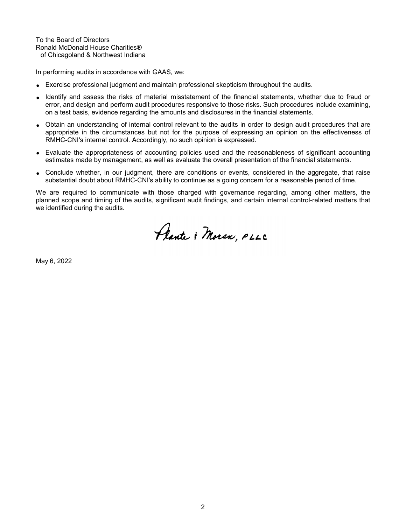To the Board of Directors Ronald McDonald House Charities® of Chicagoland & Northwest Indiana

In performing audits in accordance with GAAS, we:

- Exercise professional judgment and maintain professional skepticism throughout the audits.
- Identify and assess the risks of material misstatement of the financial statements, whether due to fraud or error, and design and perform audit procedures responsive to those risks. Such procedures include examining, on a test basis, evidence regarding the amounts and disclosures in the financial statements.
- Obtain an understanding of internal control relevant to the audits in order to design audit procedures that are appropriate in the circumstances but not for the purpose of expressing an opinion on the effectiveness of RMHC-CNI's internal control. Accordingly, no such opinion is expressed.
- Evaluate the appropriateness of accounting policies used and the reasonableness of significant accounting estimates made by management, as well as evaluate the overall presentation of the financial statements.
- Conclude whether, in our judgment, there are conditions or events, considered in the aggregate, that raise substantial doubt about RMHC-CNI's ability to continue as a going concern for a reasonable period of time.

We are required to communicate with those charged with governance regarding, among other matters, the planned scope and timing of the audits, significant audit findings, and certain internal control-related matters that we identified during the audits.

Plante & Moran, PLLC

May 6, 2022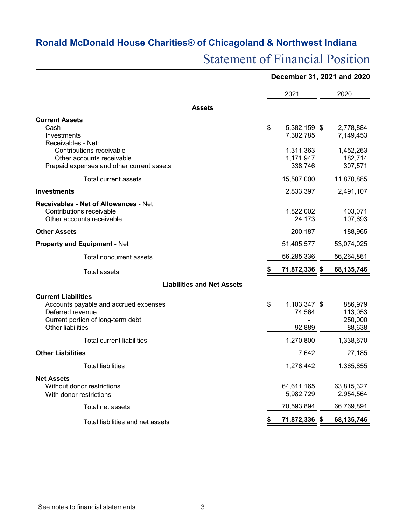## Statement of Financial Position

## **December 31, 2021 and 2020** 2021 2020 **Assets Current Assets** Cash \$ 5,382,159 \$ 2,778,884 Investments 7,382,785 7,149,453 Receivables - Net: Contributions receivable 1,311,363 1,452,263 Other accounts receivable 1,171,947 182,714 Prepaid expenses and other current assets 338,746 307,571 Total current assets 15,587,000 11,870,885 **Investments** 2,833,397 2,491,107 **Receivables - Net of Allowances** - Net Contributions receivable 1,822,002 403,071 Other accounts receivable 24,173 107,693 **Other Assets** 200,187 188,965 **Property and Equipment** - Net 51,405,577 53,074,025 Total noncurrent assets 56,285,336 56,264,861 Total assets **\$ 71,872,336 \$ 68,135,746 Liabilities and Net Assets Current Liabilities** Accounts payable and accrued expenses  $\frac{1}{2}$  1,103,347 \$ 886,979 Deferred revenue 74,564 113,053 Current portion of long-term debt  $\sim$  250,000 Other liabilities 88,638 88,638 Total current liabilities 1,270,800 1,338,670 **Other Liabilities** 27,185 Total liabilities 1,278,442 1,365,855 **Net Assets** Without donor restrictions 64,611,165 63,815,327<br>With donor restrictions 5,982,729 2,954.564 With donor restrictions 6,982,729 2,954,564 Total net assets 70,593,894 66,769,891 Total liabilities and net assets **\$ 71,872,336 \$ 68,135,746**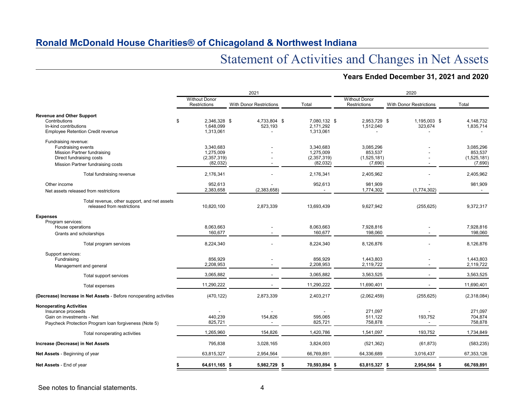# Statement of Activities and Changes in Net Assets

### **Years Ended December 31, 2021 and 2020**

|                                                                                                                                                          |                                                    | 2021                    |                                                   |                                                | 2020                                |                                                |  |  |  |  |  |
|----------------------------------------------------------------------------------------------------------------------------------------------------------|----------------------------------------------------|-------------------------|---------------------------------------------------|------------------------------------------------|-------------------------------------|------------------------------------------------|--|--|--|--|--|
|                                                                                                                                                          | <b>Without Donor</b><br>Restrictions               | With Donor Restrictions | Total                                             | <b>Without Donor</b><br>Restrictions           | With Donor Restrictions             | Total                                          |  |  |  |  |  |
| <b>Revenue and Other Support</b><br>Contributions<br>In-kind contributions<br><b>Employee Retention Credit revenue</b>                                   | \$<br>2.346.328 \$<br>1,648,099<br>1,313,061       | 4,733,804 \$<br>523,193 | 7,080,132 \$<br>2,171,292<br>1,313,061            | 2.953.729 \$<br>1,512,040                      | 1,195,003 \$<br>323,674             | 4,148,732<br>1,835,714                         |  |  |  |  |  |
| Fundraising revenue:<br><b>Fundraising events</b><br><b>Mission Partner fundraising</b><br>Direct fundraising costs<br>Mission Partner fundraising costs | 3,340,683<br>1,275,009<br>(2,357,319)<br>(82, 032) |                         | 3,340,683<br>1,275,009<br>(2,357,319)<br>(82,032) | 3,085,296<br>853,537<br>(1,525,181)<br>(7,690) |                                     | 3,085,296<br>853,537<br>(1,525,181)<br>(7,690) |  |  |  |  |  |
| Total fundraising revenue                                                                                                                                | 2,176,341                                          |                         | 2,176,341                                         | 2,405,962                                      |                                     | 2,405,962                                      |  |  |  |  |  |
| Other income<br>Net assets released from restrictions                                                                                                    | 952,613<br>2,383,658                               | (2,383,658)             | 952,613                                           | 981,909<br>1,774,302                           | (1,774,302)                         | 981,909                                        |  |  |  |  |  |
| Total revenue, other support, and net assets<br>released from restrictions                                                                               | 10.820.100                                         | 2,873,339               | 13.693.439                                        | 9.627.942                                      | (255, 625)                          | 9.372.317                                      |  |  |  |  |  |
| <b>Expenses</b><br>Program services:<br>House operations<br>Grants and scholarships<br>Total program services                                            | 8,063,663<br>160,677<br>8,224,340                  |                         | 8,063,663<br>160,677<br>8,224,340                 | 7,928,816<br>198.060<br>8,126,876              |                                     | 7,928,816<br>198,060<br>8,126,876              |  |  |  |  |  |
| Support services:<br>Fundraising<br>Management and general                                                                                               | 856,929<br>2,208,953                               |                         | 856,929<br>2,208,953                              | 1,443,803<br>2,119,722                         |                                     | 1,443,803<br>2,119,722                         |  |  |  |  |  |
| Total support services                                                                                                                                   | 3,065,882                                          |                         | 3,065,882                                         | 3,563,525                                      |                                     | 3,563,525                                      |  |  |  |  |  |
| Total expenses                                                                                                                                           | 11,290,222                                         |                         | 11,290,222                                        | 11,690,401                                     |                                     | 11,690,401                                     |  |  |  |  |  |
| (Decrease) Increase in Net Assets - Before nonoperating activities                                                                                       | (470, 122)                                         | 2,873,339               | 2,403,217                                         | (2,062,459)                                    | (255, 625)                          | (2,318,084)                                    |  |  |  |  |  |
| <b>Nonoperating Activities</b><br>Insurance proceeds<br>Gain on investments - Net<br>Paycheck Protection Program Ioan forgiveness (Note 5)               | 440,239<br>825,721                                 | 154,826<br>$\sim$       | 595,065<br>825,721                                | 271,097<br>511,122<br>758,878                  | 193,752<br>$\overline{\phantom{a}}$ | 271,097<br>704,874<br>758,878                  |  |  |  |  |  |
| Total nonoperating activities                                                                                                                            | 1,265,960                                          | 154,826                 | 1,420,786                                         | 1,541,097                                      | 193,752                             | 1,734,849                                      |  |  |  |  |  |
| Increase (Decrease) in Net Assets                                                                                                                        | 795,838                                            | 3,028,165               | 3,824,003                                         | (521, 362)                                     | (61, 873)                           | (583, 235)                                     |  |  |  |  |  |
| Net Assets - Beginning of year                                                                                                                           | 63,815,327                                         | 2,954,564               | 66,769,891                                        | 64,336,689                                     | 3,016,437                           | 67,353,126                                     |  |  |  |  |  |
| Net Assets - End of year                                                                                                                                 | 64,611,165 \$<br>\$                                | 5,982,729 \$            | 70,593,894 \$                                     | 63,815,327 \$                                  | 2,954,564 \$                        | 66,769,891                                     |  |  |  |  |  |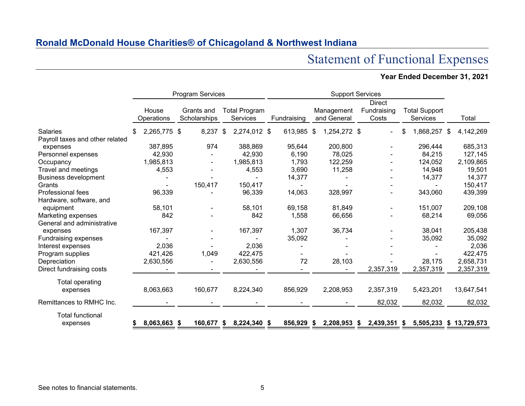# Statement of Functional Expenses

## **Year Ended December 31, 2021**

|                                 |                     |         | Program Services           |                                  |             | <b>Support Services</b>   |                      |                                  |                         |
|---------------------------------|---------------------|---------|----------------------------|----------------------------------|-------------|---------------------------|----------------------|----------------------------------|-------------------------|
|                                 |                     |         |                            |                                  |             |                           | <b>Direct</b>        |                                  |                         |
|                                 | House<br>Operations |         | Grants and<br>Scholarships | <b>Total Program</b><br>Services | Fundraising | Management<br>and General | Fundraising<br>Costs | <b>Total Support</b><br>Services | Total                   |
| Salaries                        | 2,265,775 \$        |         | 8,237                      | \$<br>2,274,012 \$               | 613,985 \$  | 1,254,272 \$              |                      | 1,868,257 \$                     | 4,142,269               |
| Payroll taxes and other related |                     |         |                            |                                  |             |                           |                      |                                  |                         |
| expenses                        |                     | 387,895 | 974                        | 388,869                          | 95,644      | 200,800                   |                      | 296,444                          | 685,313                 |
| Personnel expenses              |                     | 42,930  |                            | 42,930                           | 6,190       | 78,025                    |                      | 84,215                           | 127,145                 |
| Occupancy                       | 1,985,813           |         |                            | 1,985,813                        | 1,793       | 122,259                   |                      | 124,052                          | 2,109,865               |
| Travel and meetings             |                     | 4,553   |                            | 4,553                            | 3,690       | 11,258                    |                      | 14,948                           | 19,501                  |
| <b>Business development</b>     |                     |         |                            |                                  | 14,377      |                           |                      | 14,377                           | 14,377                  |
| Grants                          |                     |         | 150,417                    | 150,417                          |             |                           |                      |                                  | 150,417                 |
| Professional fees               |                     | 96,339  |                            | 96,339                           | 14,063      | 328,997                   |                      | 343,060                          | 439,399                 |
| Hardware, software, and         |                     |         |                            |                                  |             |                           |                      |                                  |                         |
| equipment                       |                     | 58,101  |                            | 58,101                           | 69,158      | 81,849                    |                      | 151,007                          | 209,108                 |
| Marketing expenses              |                     | 842     |                            | 842                              | 1,558       | 66,656                    |                      | 68,214                           | 69,056                  |
| General and administrative      |                     |         |                            |                                  |             |                           |                      |                                  |                         |
| expenses                        |                     | 167,397 |                            | 167,397                          | 1,307       | 36,734                    |                      | 38,041                           | 205,438                 |
| <b>Fundraising expenses</b>     |                     |         |                            |                                  | 35,092      |                           |                      | 35,092                           | 35,092                  |
| Interest expenses               |                     | 2,036   |                            | 2,036                            |             |                           |                      |                                  | 2,036                   |
| Program supplies                |                     | 421,426 | 1,049                      | 422,475                          |             |                           |                      |                                  | 422,475                 |
| Depreciation                    | 2,630,556           |         |                            | 2,630,556                        | 72          | 28,103                    |                      | 28,175                           | 2,658,731               |
| Direct fundraising costs        |                     |         |                            |                                  |             |                           | 2,357,319            | 2,357,319                        | 2,357,319               |
| Total operating                 |                     |         |                            |                                  |             |                           |                      |                                  |                         |
| expenses                        | 8,063,663           |         | 160,677                    | 8,224,340                        | 856,929     | 2,208,953                 | 2,357,319            | 5,423,201                        | 13,647,541              |
| Remittances to RMHC Inc.        |                     |         |                            |                                  |             |                           | 82,032               | 82,032                           | 82,032                  |
| <b>Total functional</b>         |                     |         |                            |                                  |             |                           |                      |                                  |                         |
| expenses                        | 8,063,663 \$        |         | 160,677                    | \$<br>8,224,340 \$               | 856,929 \$  | 2,208,953                 | \$<br>2,439,351 \$   |                                  | 5,505,233 \$ 13,729,573 |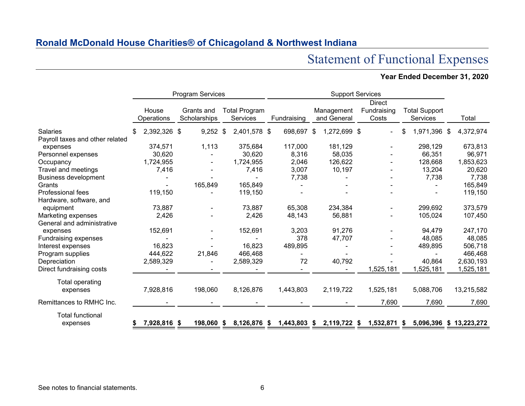# Statement of Functional Expenses

## **Year Ended December 31, 2020**

|                                 |                     | Program Services           |      |                                  |              | <b>Support Services</b>   |                      |                                  |                         |
|---------------------------------|---------------------|----------------------------|------|----------------------------------|--------------|---------------------------|----------------------|----------------------------------|-------------------------|
|                                 |                     |                            |      |                                  |              |                           | Direct               |                                  |                         |
|                                 | House<br>Operations | Grants and<br>Scholarships |      | <b>Total Program</b><br>Services | Fundraising  | Management<br>and General | Fundraising<br>Costs | <b>Total Support</b><br>Services | Total                   |
| Salaries                        | \$<br>2,392,326 \$  | $9,252$ \$                 |      | 2,401,578 \$                     | 698,697 \$   | 1,272,699 \$              |                      | \$<br>1,971,396 \$               | 4,372,974               |
| Payroll taxes and other related |                     |                            |      |                                  |              |                           |                      |                                  |                         |
| expenses                        | 374,571             | 1,113                      |      | 375,684                          | 117,000      | 181,129                   |                      | 298,129                          | 673,813                 |
| Personnel expenses              | 30,620              |                            |      | 30,620                           | 8,316        | 58,035                    |                      | 66,351                           | 96,971                  |
| Occupancy                       | 1,724,955           |                            |      | 1,724,955                        | 2,046        | 126,622                   |                      | 128,668                          | 1,853,623               |
| <b>Travel and meetings</b>      | 7,416               |                            |      | 7,416                            | 3,007        | 10,197                    |                      | 13,204                           | 20,620                  |
| <b>Business development</b>     |                     |                            |      |                                  | 7,738        |                           |                      | 7,738                            | 7,738                   |
| Grants                          |                     | 165,849                    |      | 165,849                          |              |                           |                      |                                  | 165,849                 |
| Professional fees               | 119,150             |                            |      | 119,150                          |              |                           |                      |                                  | 119,150                 |
| Hardware, software, and         |                     |                            |      |                                  |              |                           |                      |                                  |                         |
| equipment                       | 73,887              |                            |      | 73,887                           | 65,308       | 234,384                   |                      | 299,692                          | 373,579                 |
| Marketing expenses              | 2,426               |                            |      | 2,426                            | 48,143       | 56,881                    |                      | 105,024                          | 107,450                 |
| General and administrative      |                     |                            |      |                                  |              |                           |                      |                                  |                         |
| expenses                        | 152,691             |                            |      | 152,691                          | 3,203        | 91,276                    |                      | 94,479                           | 247,170                 |
| Fundraising expenses            |                     |                            |      |                                  | 378          | 47,707                    |                      | 48,085                           | 48,085                  |
| Interest expenses               | 16,823              |                            |      | 16,823                           | 489,895      |                           |                      | 489,895                          | 506,718                 |
| Program supplies                | 444,622             | 21,846                     |      | 466,468                          |              |                           |                      |                                  | 466,468                 |
| Depreciation                    | 2,589,329           |                            |      | 2,589,329                        | 72           | 40,792                    |                      | 40,864                           | 2,630,193               |
| Direct fundraising costs        |                     |                            |      |                                  |              |                           | 1,525,181            | 1,525,181                        | 1,525,181               |
| <b>Total operating</b>          |                     |                            |      |                                  |              |                           |                      |                                  |                         |
| expenses                        | 7,928,816           | 198,060                    |      | 8,126,876                        | 1,443,803    | 2,119,722                 | 1,525,181            | 5,088,706                        | 13,215,582              |
| Remittances to RMHC Inc.        |                     |                            |      |                                  |              |                           | 7,690                | 7,690                            | 7,690                   |
| <b>Total functional</b>         |                     |                            |      |                                  |              |                           |                      |                                  |                         |
| expenses                        | 7,928,816 \$        | 198,060                    | - \$ | 8,126,876 \$                     | 1,443,803 \$ | 2,119,722 \$              | 1,532,871 \$         |                                  | 5,096,396 \$ 13,223,272 |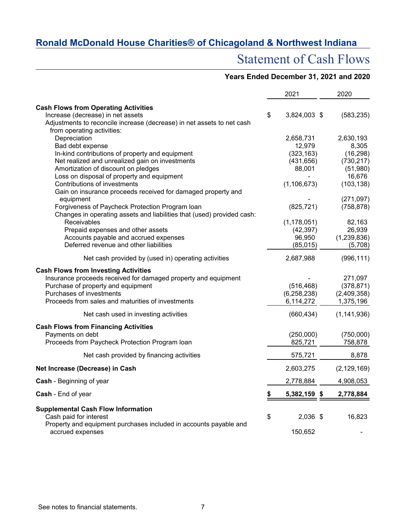# Statement of Cash Flows

## **Years Ended December 31, 2021 and 2020**

|                                                                        | 2021                | 2020               |
|------------------------------------------------------------------------|---------------------|--------------------|
| <b>Cash Flows from Operating Activities</b>                            |                     |                    |
| Increase (decrease) in net assets                                      | \$<br>3,824,003 \$  | (583, 235)         |
| Adjustments to reconcile increase (decrease) in net assets to net cash |                     |                    |
| from operating activities:                                             |                     |                    |
| Depreciation<br>Bad debt expense                                       | 2,658,731<br>12,979 | 2,630,193<br>8,305 |
| In-kind contributions of property and equipment                        | (323, 163)          | (16, 298)          |
| Net realized and unrealized gain on investments                        | (431, 656)          | (730, 217)         |
| Amortization of discount on pledges                                    | 88,001              | (51,980)           |
| Loss on disposal of property and equipment                             |                     | 16,676             |
| Contributions of investments                                           | (1, 106, 673)       | (103, 138)         |
| Gain on insurance proceeds received for damaged property and           |                     |                    |
| equipment                                                              |                     | (271, 097)         |
| Forgiveness of Paycheck Protection Program Ioan                        | (825, 721)          | (758, 878)         |
| Changes in operating assets and liabilities that (used) provided cash: |                     |                    |
| Receivables                                                            | (1, 178, 051)       | 82,163             |
| Prepaid expenses and other assets                                      | (42, 397)           | 26,939             |
| Accounts payable and accrued expenses                                  | 96,950              | (1, 239, 836)      |
| Deferred revenue and other liabilities                                 | (85, 015)           | (5,708)            |
| Net cash provided by (used in) operating activities                    | 2,687,988           | (996, 111)         |
| <b>Cash Flows from Investing Activities</b>                            |                     |                    |
| Insurance proceeds received for damaged property and equipment         |                     | 271,097            |
| Purchase of property and equipment                                     | (516, 468)          | (378, 871)         |
| Purchases of investments                                               | (6, 258, 238)       | (2,409,358)        |
| Proceeds from sales and maturities of investments                      | 6,114,272           | 1,375,196          |
| Net cash used in investing activities                                  | (660, 434)          | (1, 141, 936)      |
| <b>Cash Flows from Financing Activities</b>                            |                     |                    |
| Payments on debt                                                       | (250,000)           | (750,000)          |
| Proceeds from Paycheck Protection Program Ioan                         | 825,721             | 758,878            |
| Net cash provided by financing activities                              | 575,721             | 8,878              |
| Net Increase (Decrease) in Cash                                        | 2,603,275           | (2, 129, 169)      |
| <b>Cash</b> - Beginning of year                                        | 2,778,884           | 4,908,053          |
| Cash - End of year                                                     | \$<br>5,382,159 \$  | 2,778,884          |
| <b>Supplemental Cash Flow Information</b>                              |                     |                    |
| Cash paid for interest                                                 | \$<br>$2,036$ \$    | 16,823             |
| Property and equipment purchases included in accounts payable and      |                     |                    |
| accrued expenses                                                       | 150,652             |                    |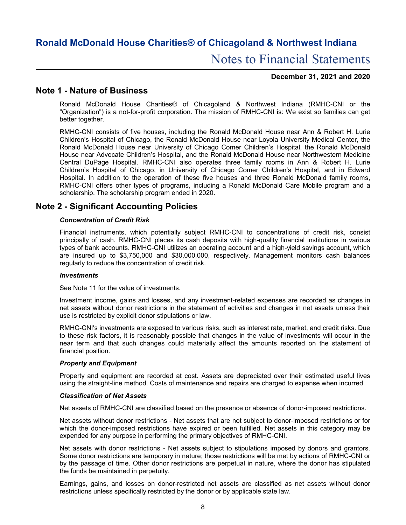## Notes to Financial Statements

#### **December 31, 2021 and 2020**

### **Note 1 - Nature of Business**

Ronald McDonald House Charities® of Chicagoland & Northwest Indiana (RMHC-CNI or the "Organization") is a not-for-profit corporation. The mission of RMHC-CNI is: We exist so families can get better together.

RMHC-CNI consists of five houses, including the Ronald McDonald House near Ann & Robert H. Lurie Children's Hospital of Chicago, the Ronald McDonald House near Loyola University Medical Center, the Ronald McDonald House near University of Chicago Comer Children's Hospital, the Ronald McDonald House near Advocate Children's Hospital, and the Ronald McDonald House near Northwestern Medicine Central DuPage Hospital. RMHC-CNI also operates three family rooms in Ann & Robert H. Lurie Children's Hospital of Chicago, in University of Chicago Comer Children's Hospital, and in Edward Hospital. In addition to the operation of these five houses and three Ronald McDonald family rooms, RMHC-CNI offers other types of programs, including a Ronald McDonald Care Mobile program and a scholarship. The scholarship program ended in 2020.

### **Note 2 - Significant Accounting Policies**

#### *Concentration of Credit Risk*

Financial instruments, which potentially subject RMHC-CNI to concentrations of credit risk, consist principally of cash. RMHC-CNI places its cash deposits with high-quality financial institutions in various types of bank accounts. RMHC-CNI utilizes an operating account and a high-yield savings account, which are insured up to \$3,750,000 and \$30,000,000, respectively. Management monitors cash balances regularly to reduce the concentration of credit risk.

#### *Investments*

See Note 11 for the value of investments.

Investment income, gains and losses, and any investment-related expenses are recorded as changes in net assets without donor restrictions in the statement of activities and changes in net assets unless their use is restricted by explicit donor stipulations or law.

RMHC-CNI's investments are exposed to various risks, such as interest rate, market, and credit risks. Due to these risk factors, it is reasonably possible that changes in the value of investments will occur in the near term and that such changes could materially affect the amounts reported on the statement of financial position.

#### *Property and Equipment*

Property and equipment are recorded at cost. Assets are depreciated over their estimated useful lives using the straight-line method. Costs of maintenance and repairs are charged to expense when incurred.

#### *Classification of Net Assets*

Net assets of RMHC-CNI are classified based on the presence or absence of donor-imposed restrictions.

Net assets without donor restrictions - Net assets that are not subject to donor-imposed restrictions or for which the donor-imposed restrictions have expired or been fulfilled. Net assets in this category may be expended for any purpose in performing the primary objectives of RMHC-CNI.

Net assets with donor restrictions - Net assets subject to stipulations imposed by donors and grantors. Some donor restrictions are temporary in nature; those restrictions will be met by actions of RMHC-CNI or by the passage of time. Other donor restrictions are perpetual in nature, where the donor has stipulated the funds be maintained in perpetuity.

Earnings, gains, and losses on donor-restricted net assets are classified as net assets without donor restrictions unless specifically restricted by the donor or by applicable state law.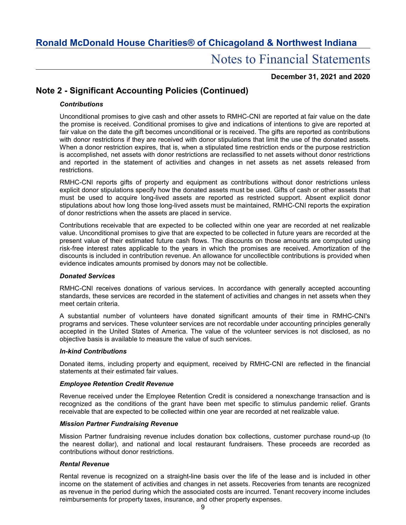## Notes to Financial Statements

**December 31, 2021 and 2020**

## **Note 2 - Significant Accounting Policies (Continued)**

#### *Contributions*

Unconditional promises to give cash and other assets to RMHC-CNI are reported at fair value on the date the promise is received. Conditional promises to give and indications of intentions to give are reported at fair value on the date the gift becomes unconditional or is received. The gifts are reported as contributions with donor restrictions if they are received with donor stipulations that limit the use of the donated assets. When a donor restriction expires, that is, when a stipulated time restriction ends or the purpose restriction is accomplished, net assets with donor restrictions are reclassified to net assets without donor restrictions and reported in the statement of activities and changes in net assets as net assets released from restrictions.

RMHC-CNI reports gifts of property and equipment as contributions without donor restrictions unless explicit donor stipulations specify how the donated assets must be used. Gifts of cash or other assets that must be used to acquire long-lived assets are reported as restricted support. Absent explicit donor stipulations about how long those long-lived assets must be maintained, RMHC-CNI reports the expiration of donor restrictions when the assets are placed in service.

Contributions receivable that are expected to be collected within one year are recorded at net realizable value. Unconditional promises to give that are expected to be collected in future years are recorded at the present value of their estimated future cash flows. The discounts on those amounts are computed using risk-free interest rates applicable to the years in which the promises are received. Amortization of the discounts is included in contribution revenue. An allowance for uncollectible contributions is provided when evidence indicates amounts promised by donors may not be collectible.

#### *Donated Services*

RMHC-CNI receives donations of various services. In accordance with generally accepted accounting standards, these services are recorded in the statement of activities and changes in net assets when they meet certain criteria.

A substantial number of volunteers have donated significant amounts of their time in RMHC-CNI's programs and services. These volunteer services are not recordable under accounting principles generally accepted in the United States of America. The value of the volunteer services is not disclosed, as no objective basis is available to measure the value of such services.

#### *In-kind Contributions*

Donated items, including property and equipment, received by RMHC-CNI are reflected in the financial statements at their estimated fair values.

#### *Employee Retention Credit Revenue*

Revenue received under the Employee Retention Credit is considered a nonexchange transaction and is recognized as the conditions of the grant have been met specific to stimulus pandemic relief. Grants receivable that are expected to be collected within one year are recorded at net realizable value.

#### *Mission Partner Fundraising Revenue*

Mission Partner fundraising revenue includes donation box collections, customer purchase round-up (to the nearest dollar), and national and local restaurant fundraisers. These proceeds are recorded as contributions without donor restrictions.

#### *Rental Revenue*

Rental revenue is recognized on a straight-line basis over the life of the lease and is included in other income on the statement of activities and changes in net assets. Recoveries from tenants are recognized as revenue in the period during which the associated costs are incurred. Tenant recovery income includes reimbursements for property taxes, insurance, and other property expenses.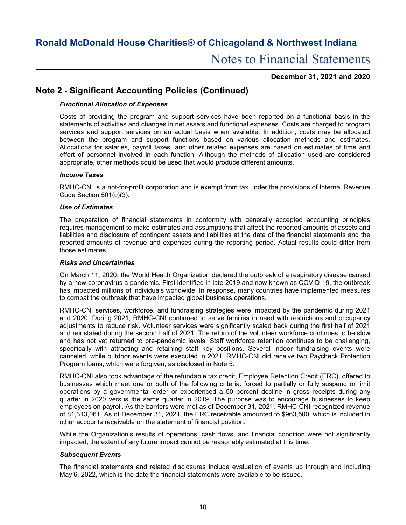## Notes to Financial Statements

**December 31, 2021 and 2020**

### **Note 2 - Significant Accounting Policies (Continued)**

#### *Functional Allocation of Expenses*

Costs of providing the program and support services have been reported on a functional basis in the statements of activities and changes in net assets and functional expenses. Costs are charged to program services and support services on an actual basis when available. In addition, costs may be allocated between the program and support functions based on various allocation methods and estimates. Allocations for salaries, payroll taxes, and other related expenses are based on estimates of time and effort of personnel involved in each function. Although the methods of allocation used are considered appropriate, other methods could be used that would produce different amounts.

#### *Income Taxes*

RMHC-CNI is a not-for-profit corporation and is exempt from tax under the provisions of Internal Revenue Code Section 501(c)(3).

#### *Use of Estimates*

The preparation of financial statements in conformity with generally accepted accounting principles requires management to make estimates and assumptions that affect the reported amounts of assets and liabilities and disclosure of contingent assets and liabilities at the date of the financial statements and the reported amounts of revenue and expenses during the reporting period. Actual results could differ from those estimates.

#### *Risks and Uncertainties*

On March 11, 2020, the World Health Organization declared the outbreak of a respiratory disease caused by a new coronavirus a pandemic. First identified in late 2019 and now known as COVID-19, the outbreak has impacted millions of individuals worldwide. In response, many countries have implemented measures to combat the outbreak that have impacted global business operations.

RMHC-CNI services, workforce, and fundraising strategies were impacted by the pandemic during 2021 and 2020. During 2021, RMHC-CNI continued to serve families in need with restrictions and occupancy adjustments to reduce risk. Volunteer services were significantly scaled back during the first half of 2021 and reinstated during the second half of 2021. The return of the volunteer workforce continues to be slow and has not yet returned to pre-pandemic levels. Staff workforce retention continues to be challenging, specifically with attracting and retaining staff key positions. Several indoor fundraising events were canceled, while outdoor events were executed in 2021. RMHC-CNI did receive two Paycheck Protection Program loans, which were forgiven, as disclosed in Note 5.

RMHC-CNI also took advantage of the refundable tax credit, Employee Retention Credit (ERC), offered to businesses which meet one or both of the following criteria: forced to partially or fully suspend or limit operations by a governmental order or experienced a 50 percent decline in gross receipts during any quarter in 2020 versus the same quarter in 2019. The purpose was to encourage businesses to keep employees on payroll. As the barriers were met as of December 31, 2021, RMHC-CNI recognized revenue of \$1,313,061. As of December 31, 2021, the ERC receivable amounted to \$963,500, which is included in other accounts receivable on the statement of financial position.

While the Organization's results of operations, cash flows, and financial condition were not significantly impacted, the extent of any future impact cannot be reasonably estimated at this time.

#### *Subsequent Events*

The financial statements and related disclosures include evaluation of events up through and including May 6, 2022, which is the date the financial statements were available to be issued.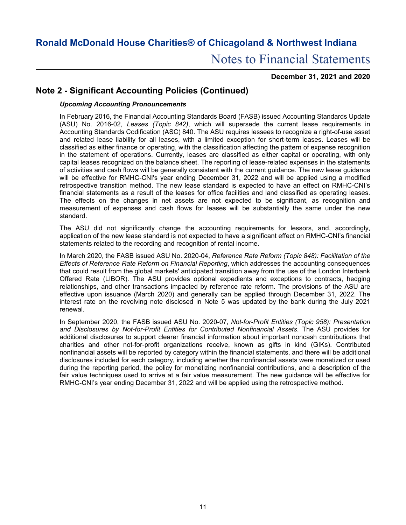## Notes to Financial Statements

**December 31, 2021 and 2020**

### **Note 2 - Significant Accounting Policies (Continued)**

#### *Upcoming Accounting Pronouncements*

In February 2016, the Financial Accounting Standards Board (FASB) issued Accounting Standards Update (ASU) No. 2016-02, *Leases (Topic 842)*, which will supersede the current lease requirements in Accounting Standards Codification (ASC) 840. The ASU requires lessees to recognize a right-of-use asset and related lease liability for all leases, with a limited exception for short-term leases. Leases will be classified as either finance or operating, with the classification affecting the pattern of expense recognition in the statement of operations. Currently, leases are classified as either capital or operating, with only capital leases recognized on the balance sheet. The reporting of lease-related expenses in the statements of activities and cash flows will be generally consistent with the current guidance. The new lease guidance will be effective for RMHC-CNI's year ending December 31, 2022 and will be applied using a modified retrospective transition method. The new lease standard is expected to have an effect on RMHC-CNI's financial statements as a result of the leases for office facilities and land classified as operating leases. The effects on the changes in net assets are not expected to be significant, as recognition and measurement of expenses and cash flows for leases will be substantially the same under the new standard.

The ASU did not significantly change the accounting requirements for lessors, and, accordingly, application of the new lease standard is not expected to have a significant effect on RMHC-CNI's financial statements related to the recording and recognition of rental income.

In March 2020, the FASB issued ASU No. 2020-04, *Reference Rate Reform (Topic 848): Facilitation of the Effects of Reference Rate Reform on Financial Reporting*, which addresses the accounting consequences that could result from the global markets' anticipated transition away from the use of the London Interbank Offered Rate (LIBOR). The ASU provides optional expedients and exceptions to contracts, hedging relationships, and other transactions impacted by reference rate reform. The provisions of the ASU are effective upon issuance (March 2020) and generally can be applied through December 31, 2022. The interest rate on the revolving note disclosed in Note 5 was updated by the bank during the July 2021 renewal.

In September 2020, the FASB issued ASU No. 2020-07, *Not-for-Profit Entities (Topic 958): Presentation and Disclosures by Not-for-Profit Entities for Contributed Nonfinancial Assets*. The ASU provides for additional disclosures to support clearer financial information about important noncash contributions that charities and other not-for-profit organizations receive, known as gifts in kind (GIKs). Contributed nonfinancial assets will be reported by category within the financial statements, and there will be additional disclosures included for each category, including whether the nonfinancial assets were monetized or used during the reporting period, the policy for monetizing nonfinancial contributions, and a description of the fair value techniques used to arrive at a fair value measurement. The new guidance will be effective for RMHC-CNI's year ending December 31, 2022 and will be applied using the retrospective method.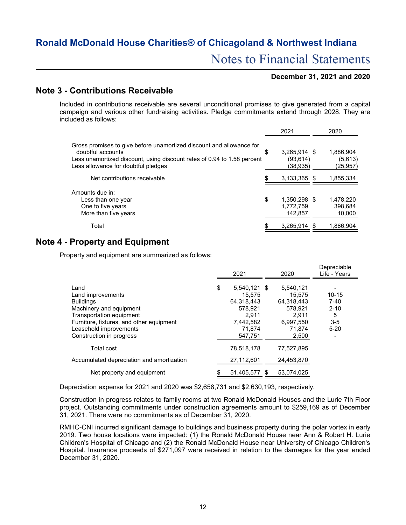## Notes to Financial Statements

#### **December 31, 2021 and 2020**

### **Note 3 - Contributions Receivable**

Included in contributions receivable are several unconditional promises to give generated from a capital campaign and various other fundraising activities. Pledge commitments extend through 2028. They are included as follows:

|                                                                                                                                                                                                             | 2021                                        | 2020                             |
|-------------------------------------------------------------------------------------------------------------------------------------------------------------------------------------------------------------|---------------------------------------------|----------------------------------|
| Gross promises to give before unamortized discount and allowance for<br>doubtful accounts<br>Less unamortized discount, using discount rates of 0.94 to 1.58 percent<br>Less allowance for doubtful pledges | \$<br>3,265,914 \$<br>(93, 614)<br>(38,935) | 1.886.904<br>(5,613)<br>(25,957) |
| Net contributions receivable                                                                                                                                                                                | 3,133,365 \$                                | 1,855,334                        |
| Amounts due in:<br>Less than one year<br>One to five years<br>More than five years                                                                                                                          | \$<br>1,350,298 \$<br>1.772.759<br>142,857  | 1,478,220<br>398.684<br>10,000   |
| Total                                                                                                                                                                                                       | 3,265,914 \$                                | 1,886,904                        |

### **Note 4 - Property and Equipment**

Property and equipment are summarized as follows:

|                                                                                                                                                                                                        | 2021                                                                                               | 2020                                                                                  | Depreciable<br>Life - Years                                 |
|--------------------------------------------------------------------------------------------------------------------------------------------------------------------------------------------------------|----------------------------------------------------------------------------------------------------|---------------------------------------------------------------------------------------|-------------------------------------------------------------|
| Land<br>Land improvements<br><b>Buildings</b><br>Machinery and equipment<br>Transportation equipment<br>Furniture, fixtures, and other equipment<br>Leasehold improvements<br>Construction in progress | \$<br>$5,540,121$ \$<br>15.575<br>64.318.443<br>578.921<br>2.911<br>7,442,582<br>71.874<br>547,751 | 5,540,121<br>15.575<br>64.318.443<br>578.921<br>2,911<br>6.997.550<br>71.874<br>2,500 | $10 - 15$<br>$7 - 40$<br>$2 - 10$<br>5<br>$3 - 5$<br>$5-20$ |
| Total cost                                                                                                                                                                                             | 78,518,178                                                                                         | 77.527.895                                                                            |                                                             |
| Accumulated depreciation and amortization                                                                                                                                                              | 27,112,601                                                                                         | 24,453,870                                                                            |                                                             |
| Net property and equipment                                                                                                                                                                             | 51,405,577 \$                                                                                      | 53.074.025                                                                            |                                                             |

Depreciation expense for 2021 and 2020 was \$2,658,731 and \$2,630,193, respectively.

Construction in progress relates to family rooms at two Ronald McDonald Houses and the Lurie 7th Floor project. Outstanding commitments under construction agreements amount to \$259,169 as of December 31, 2021. There were no commitments as of December 31, 2020.

RMHC-CNI incurred significant damage to buildings and business property during the polar vortex in early 2019. Two house locations were impacted: (1) the Ronald McDonald House near Ann & Robert H. Lurie Children's Hospital of Chicago and (2) the Ronald McDonald House near University of Chicago Children's Hospital. Insurance proceeds of \$271,097 were received in relation to the damages for the year ended December 31, 2020.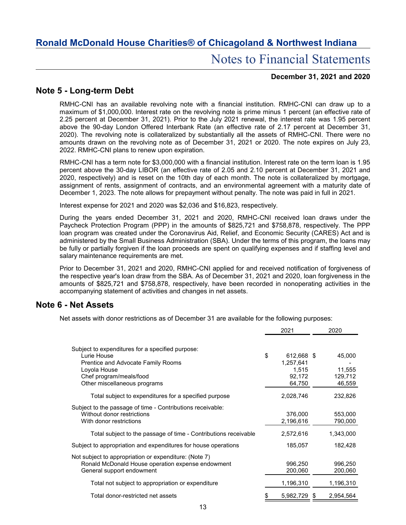## Notes to Financial Statements

#### **December 31, 2021 and 2020**

### **Note 5 - Long-term Debt**

RMHC-CNI has an available revolving note with a financial institution. RMHC-CNI can draw up to a maximum of \$1,000,000. Interest rate on the revolving note is prime minus 1 percent (an effective rate of 2.25 percent at December 31, 2021). Prior to the July 2021 renewal, the interest rate was 1.95 percent above the 90-day London Offered Interbank Rate (an effective rate of 2.17 percent at December 31, 2020). The revolving note is collateralized by substantially all the assets of RMHC-CNI. There were no amounts drawn on the revolving note as of December 31, 2021 or 2020. The note expires on July 23, 2022. RMHC-CNI plans to renew upon expiration.

RMHC-CNI has a term note for \$3,000,000 with a financial institution. Interest rate on the term loan is 1.95 percent above the 30-day LIBOR (an effective rate of 2.05 and 2.10 percent at December 31, 2021 and 2020, respectively) and is reset on the 10th day of each month. The note is collateralized by mortgage, assignment of rents, assignment of contracts, and an environmental agreement with a maturity date of December 1, 2023. The note allows for prepayment without penalty. The note was paid in full in 2021.

Interest expense for 2021 and 2020 was \$2,036 and \$16,823, respectively.

During the years ended December 31, 2021 and 2020, RMHC-CNI received loan draws under the Paycheck Protection Program (PPP) in the amounts of \$825,721 and \$758,878, respectively. The PPP loan program was created under the Coronavirus Aid, Relief, and Economic Security (CARES) Act and is administered by the Small Business Administration (SBA). Under the terms of this program, the loans may be fully or partially forgiven if the loan proceeds are spent on qualifying expenses and if staffing level and salary maintenance requirements are met.

Prior to December 31, 2021 and 2020, RMHC-CNI applied for and received notification of forgiveness of the respective year's loan draw from the SBA. As of December 31, 2021 and 2020, loan forgiveness in the amounts of \$825,721 and \$758,878, respectively, have been recorded in nonoperating activities in the accompanying statement of activities and changes in net assets.

### **Note 6 - Net Assets**

Net assets with donor restrictions as of December 31 are available for the following purposes:

|                                                                 | 2021             | 2020      |
|-----------------------------------------------------------------|------------------|-----------|
| Subject to expenditures for a specified purpose:                |                  |           |
| Lurie House                                                     | \$<br>612,668 \$ | 45,000    |
| <b>Prentice and Advocate Family Rooms</b>                       | 1,257,641        |           |
| Loyola House                                                    | 1,515            | 11,555    |
| Chef program/meals/food                                         | 92,172           | 129,712   |
| Other miscellaneous programs                                    | 64,750           | 46,559    |
| Total subject to expenditures for a specified purpose           | 2,028,746        | 232,826   |
| Subject to the passage of time - Contributions receivable:      |                  |           |
| Without donor restrictions                                      | 376,000          | 553,000   |
| With donor restrictions                                         | 2,196,616        | 790,000   |
| Total subject to the passage of time - Contributions receivable | 2,572,616        | 1,343,000 |
| Subject to appropriation and expenditures for house operations  | 185,057          | 182,428   |
| Not subject to appropriation or expenditure: (Note 7)           |                  |           |
| Ronald McDonald House operation expense endowment               | 996,250          | 996,250   |
| General support endowment                                       | 200,060          | 200,060   |
| Total not subject to appropriation or expenditure               | 1,196,310        | 1,196,310 |
| Total donor-restricted net assets                               | 5,982,729        | 2,954,564 |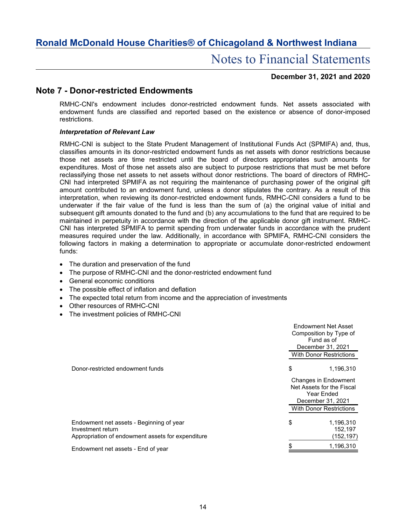## Notes to Financial Statements

**December 31, 2021 and 2020**

### **Note 7 - Donor-restricted Endowments**

RMHC-CNI's endowment includes donor-restricted endowment funds. Net assets associated with endowment funds are classified and reported based on the existence or absence of donor-imposed restrictions.

#### *Interpretation of Relevant Law*

RMHC-CNI is subject to the State Prudent Management of Institutional Funds Act (SPMIFA) and, thus, classifies amounts in its donor-restricted endowment funds as net assets with donor restrictions because those net assets are time restricted until the board of directors appropriates such amounts for expenditures. Most of those net assets also are subject to purpose restrictions that must be met before reclassifying those net assets to net assets without donor restrictions. The board of directors of RMHC-CNI had interpreted SPMIFA as not requiring the maintenance of purchasing power of the original gift amount contributed to an endowment fund, unless a donor stipulates the contrary. As a result of this interpretation, when reviewing its donor-restricted endowment funds, RMHC-CNI considers a fund to be underwater if the fair value of the fund is less than the sum of (a) the original value of initial and subsequent gift amounts donated to the fund and (b) any accumulations to the fund that are required to be maintained in perpetuity in accordance with the direction of the applicable donor gift instrument. RMHC-CNI has interpreted SPMIFA to permit spending from underwater funds in accordance with the prudent measures required under the law. Additionally, in accordance with SPMIFA, RMHC-CNI considers the following factors in making a determination to appropriate or accumulate donor-restricted endowment funds:

- The duration and preservation of the fund
- The purpose of RMHC-CNI and the donor-restricted endowment fund
- General economic conditions
- The possible effect of inflation and deflation
- The expected total return from income and the appreciation of investments
- Other resources of RMHC-CNI
- The investment policies of RMHC-CNI

|                                                                                                                    | <b>Endowment Net Asset</b><br>Composition by Type of<br>Fund as of<br>December 31, 2021     |
|--------------------------------------------------------------------------------------------------------------------|---------------------------------------------------------------------------------------------|
|                                                                                                                    | <b>With Donor Restrictions</b>                                                              |
| Donor-restricted endowment funds                                                                                   | \$<br>1,196,310                                                                             |
|                                                                                                                    | Changes in Endowment<br>Net Assets for the Fiscal<br><b>Year Ended</b><br>December 31, 2021 |
|                                                                                                                    | <b>With Donor Restrictions</b>                                                              |
| Endowment net assets - Beginning of year<br>Investment return<br>Appropriation of endowment assets for expenditure | \$<br>1,196,310<br>152,197<br>(152,197)                                                     |
| Endowment net assets - End of year                                                                                 | 1,196,310                                                                                   |
|                                                                                                                    |                                                                                             |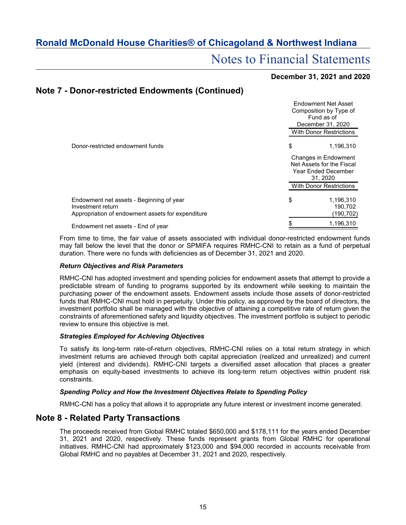## Notes to Financial Statements

#### **December 31, 2021 and 2020**

### **Note 7 - Donor-restricted Endowments (Continued)**

|                                                                                                                    | <b>Endowment Net Asset</b><br>Composition by Type of<br>Fund as of<br>December 31, 2020     |
|--------------------------------------------------------------------------------------------------------------------|---------------------------------------------------------------------------------------------|
|                                                                                                                    | <b>With Donor Restrictions</b>                                                              |
| Donor-restricted endowment funds                                                                                   | \$<br>1,196,310                                                                             |
|                                                                                                                    | Changes in Endowment<br>Net Assets for the Fiscal<br><b>Year Ended December</b><br>31, 2020 |
|                                                                                                                    | <b>With Donor Restrictions</b>                                                              |
| Endowment net assets - Beginning of year<br>Investment return<br>Appropriation of endowment assets for expenditure | \$<br>1,196,310<br>190.702<br>(190,702)                                                     |
| Endowment net assets - End of year                                                                                 | 1,196,310                                                                                   |

From time to time, the fair value of assets associated with individual donor-restricted endowment funds may fall below the level that the donor or SPMIFA requires RMHC-CNI to retain as a fund of perpetual duration. There were no funds with deficiencies as of December 31, 2021 and 2020.

#### *Return Objectives and Risk Parameters*

RMHC-CNI has adopted investment and spending policies for endowment assets that attempt to provide a predictable stream of funding to programs supported by its endowment while seeking to maintain the purchasing power of the endowment assets. Endowment assets include those assets of donor-restricted funds that RMHC-CNI must hold in perpetuity. Under this policy, as approved by the board of directors, the investment portfolio shall be managed with the objective of attaining a competitive rate of return given the constraints of aforementioned safety and liquidity objectives. The investment portfolio is subject to periodic review to ensure this objective is met.

#### *Strategies Employed for Achieving Objectives*

To satisfy its long-term rate-of-return objectives, RMHC-CNI relies on a total return strategy in which investment returns are achieved through both capital appreciation (realized and unrealized) and current yield (interest and dividends). RMHC-CNI targets a diversified asset allocation that places a greater emphasis on equity-based investments to achieve its long-term return objectives within prudent risk constraints.

#### *Spending Policy and How the Investment Objectives Relate to Spending Policy*

RMHC-CNI has a policy that allows it to appropriate any future interest or investment income generated.

### **Note 8 - Related Party Transactions**

The proceeds received from Global RMHC totaled \$650,000 and \$178,111 for the years ended December 31, 2021 and 2020, respectively. These funds represent grants from Global RMHC for operational initiatives. RMHC-CNI had approximately \$123,000 and \$94,000 recorded in accounts receivable from Global RMHC and no payables at December 31, 2021 and 2020, respectively.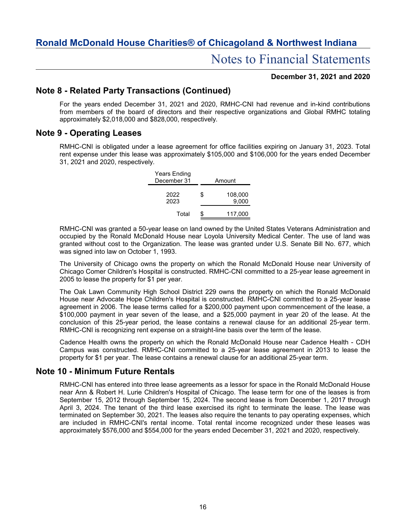## Notes to Financial Statements

#### **December 31, 2021 and 2020**

### **Note 8 - Related Party Transactions (Continued)**

For the years ended December 31, 2021 and 2020, RMHC-CNI had revenue and in-kind contributions from members of the board of directors and their respective organizations and Global RMHC totaling approximately \$2,018,000 and \$828,000, respectively.

### **Note 9 - Operating Leases**

RMHC-CNI is obligated under a lease agreement for office facilities expiring on January 31, 2023. Total rent expense under this lease was approximately \$105,000 and \$106,000 for the years ended December 31, 2021 and 2020, respectively.

| Years Ending<br>December 31 | Amount                 |
|-----------------------------|------------------------|
| 2022<br>2023                | \$<br>108,000<br>9,000 |
| Total                       | 117,000                |

RMHC-CNI was granted a 50-year lease on land owned by the United States Veterans Administration and occupied by the Ronald McDonald House near Loyola University Medical Center. The use of land was granted without cost to the Organization. The lease was granted under U.S. Senate Bill No. 677, which was signed into law on October 1, 1993.

The University of Chicago owns the property on which the Ronald McDonald House near University of Chicago Comer Children's Hospital is constructed. RMHC-CNI committed to a 25-year lease agreement in 2005 to lease the property for \$1 per year.

The Oak Lawn Community High School District 229 owns the property on which the Ronald McDonald House near Advocate Hope Children's Hospital is constructed. RMHC-CNI committed to a 25-year lease agreement in 2006. The lease terms called for a \$200,000 payment upon commencement of the lease, a \$100,000 payment in year seven of the lease, and a \$25,000 payment in year 20 of the lease. At the conclusion of this 25-year period, the lease contains a renewal clause for an additional 25-year term. RMHC-CNI is recognizing rent expense on a straight-line basis over the term of the lease.

Cadence Health owns the property on which the Ronald McDonald House near Cadence Health - CDH Campus was constructed. RMHC-CNI committed to a 25-year lease agreement in 2013 to lease the property for \$1 per year. The lease contains a renewal clause for an additional 25-year term.

### **Note 10 - Minimum Future Rentals**

RMHC-CNI has entered into three lease agreements as a lessor for space in the Ronald McDonald House near Ann & Robert H. Lurie Children's Hospital of Chicago. The lease term for one of the leases is from September 15, 2012 through September 15, 2024. The second lease is from December 1, 2017 through April 3, 2024. The tenant of the third lease exercised its right to terminate the lease. The lease was terminated on September 30, 2021. The leases also require the tenants to pay operating expenses, which are included in RMHC-CNI's rental income. Total rental income recognized under these leases was approximately \$576,000 and \$554,000 for the years ended December 31, 2021 and 2020, respectively.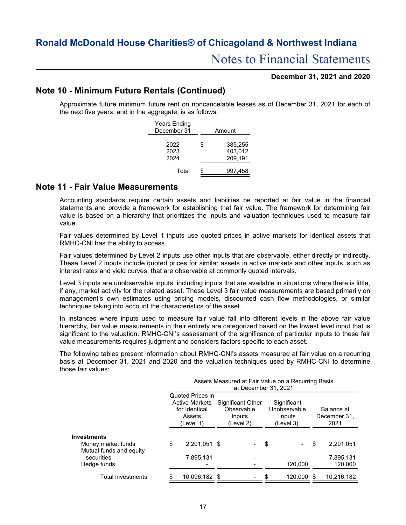## Notes to Financial Statements

#### **December 31, 2021 and 2020**

### **Note 10 - Minimum Future Rentals (Continued)**

Approximate future minimum future rent on noncancelable leases as of December 31, 2021 for each of the next five years, and in the aggregate, is as follows:

| <b>Years Ending</b><br>December 31 | Amount                              |
|------------------------------------|-------------------------------------|
| 2022<br>2023<br>2024               | \$<br>385,255<br>403,012<br>209,191 |
| Total                              | 997.458                             |

### **Note 11 - Fair Value Measurements**

Accounting standards require certain assets and liabilities be reported at fair value in the financial statements and provide a framework for establishing that fair value. The framework for determining fair value is based on a hierarchy that prioritizes the inputs and valuation techniques used to measure fair value.

Fair values determined by Level 1 inputs use quoted prices in active markets for identical assets that RMHC-CNI has the ability to access.

Fair values determined by Level 2 inputs use other inputs that are observable, either directly or indirectly. These Level 2 inputs include quoted prices for similar assets in active markets and other inputs, such as interest rates and yield curves, that are observable at commonly quoted intervals.

Level 3 inputs are unobservable inputs, including inputs that are available in situations where there is little, if any, market activity for the related asset. These Level 3 fair value measurements are based primarily on management's own estimates using pricing models, discounted cash flow methodologies, or similar techniques taking into account the characteristics of the asset.

In instances where inputs used to measure fair value fall into different levels in the above fair value hierarchy, fair value measurements in their entirety are categorized based on the lowest level input that is significant to the valuation. RMHC-CNI's assessment of the significance of particular inputs to these fair value measurements requires judgment and considers factors specific to each asset.

The following tables present information about RMHC-CNI's assets measured at fair value on a recurring basis at December 31, 2021 and 2020 and the valuation techniques used by RMHC-CNI to determine those fair values:

|                                                                                   | Assets Measured at Fair Value on a Recurring Basis<br>at December 31, 2021 |                                                                                   |  |                                                        |    |                                                    |    |                                    |  |
|-----------------------------------------------------------------------------------|----------------------------------------------------------------------------|-----------------------------------------------------------------------------------|--|--------------------------------------------------------|----|----------------------------------------------------|----|------------------------------------|--|
|                                                                                   |                                                                            | Quoted Prices in<br><b>Active Markets</b><br>for Identical<br>Assets<br>(Level 1) |  | Significant Other<br>Observable<br>Inputs<br>(Level 2) |    | Significant<br>Unobservable<br>Inputs<br>(Level 3) |    | Balance at<br>December 31,<br>2021 |  |
| <b>Investments</b><br>Money market funds<br>Mutual funds and equity<br>securities | \$                                                                         | 2,201,051 \$<br>7,895,131                                                         |  |                                                        | \$ |                                                    | \$ | 2.201.051<br>7,895,131             |  |
| Hedge funds                                                                       |                                                                            |                                                                                   |  |                                                        |    | 120,000                                            |    | 120,000                            |  |
| <b>Total investments</b>                                                          |                                                                            | 10,096,182 \$                                                                     |  |                                                        |    | 120.000                                            |    | 10,216,182                         |  |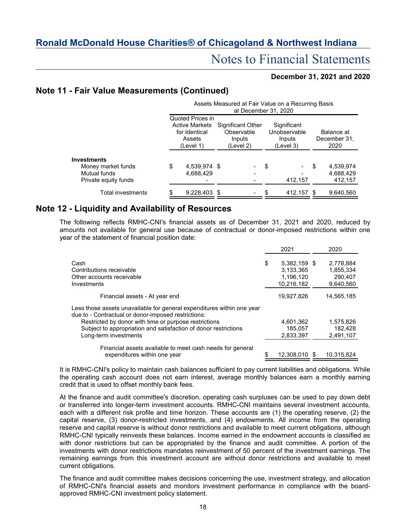## Notes to Financial Statements

#### **December 31, 2021 and 2020**

## **Note 11 - Fair Value Measurements (Continued)**

|                                                                                  | Assets Measured at Fair Value on a Recurring Basis<br>at December 31, 2020        |                           |                                                        |   |                                                    |                           |                                    |                                   |
|----------------------------------------------------------------------------------|-----------------------------------------------------------------------------------|---------------------------|--------------------------------------------------------|---|----------------------------------------------------|---------------------------|------------------------------------|-----------------------------------|
|                                                                                  | Quoted Prices in<br><b>Active Markets</b><br>for Identical<br>Assets<br>(Level 1) |                           | Significant Other<br>Observable<br>Inputs<br>(Level 2) |   | Significant<br>Unobservable<br>Inputs<br>(Level 3) |                           | Balance at<br>December 31,<br>2020 |                                   |
| <b>Investments</b><br>Money market funds<br>Mutual funds<br>Private equity funds | \$                                                                                | 4,539,974 \$<br>4,688,429 |                                                        |   | \$                                                 | $\blacksquare$<br>412,157 | \$                                 | 4,539,974<br>4,688,429<br>412,157 |
| Total investments                                                                |                                                                                   | 9,228,403 \$              |                                                        | - |                                                    | 412,157                   |                                    | 9,640,560                         |

### **Note 12 - Liquidity and Availability of Resources**

The following reflects RMHC-CNI's financial assets as of December 31, 2021 and 2020, reduced by amounts not available for general use because of contractual or donor-imposed restrictions within one year of the statement of financial position date:

|                                                                                                                                                                                        | 2021                                                       | 2020                                           |
|----------------------------------------------------------------------------------------------------------------------------------------------------------------------------------------|------------------------------------------------------------|------------------------------------------------|
| Cash<br>Contributions receivable<br>Other accounts receivable<br>Investments                                                                                                           | \$<br>5,382,159 \$<br>3,133,365<br>1,196,120<br>10,216,182 | 2.778.884<br>1,855,334<br>290.407<br>9,640,560 |
| Financial assets - At year end                                                                                                                                                         | 19.927.826                                                 | 14.565.185                                     |
| Less those assets unavailable for general expenditures within one year<br>due to - Contractual or donor-imposed restrictions:<br>Restricted by donor with time or purpose restrictions | 4,601,362                                                  | 1.575.826                                      |
| Subject to appropriation and satisfaction of donor restrictions<br>Long-term investments                                                                                               | 185.057<br>2,833,397                                       | 182.428<br>2,491,107                           |
| Financial assets available to meet cash needs for general<br>expenditures within one year                                                                                              | \$<br>12.308.010 \$                                        | 10.315.824                                     |

It is RMHC-CNI's policy to maintain cash balances sufficient to pay current liabilities and obligations. While the operating cash account does not earn interest, average monthly balances earn a monthly earning credit that is used to offset monthly bank fees.

At the finance and audit committee's discretion, operating cash surpluses can be used to pay down debt or transferred into longer-term investment accounts. RMHC-CNI maintains several investment accounts, each with a different risk profile and time horizon. These accounts are (1) the operating reserve, (2) the capital reserve, (3) donor-restricted investments, and (4) endowments. All income from the operating reserve and capital reserve is without donor restrictions and available to meet current obligations, although RMHC-CNI typically reinvests these balances. Income earned in the endowment accounts is classified as with donor restrictions but can be appropriated by the finance and audit committee. A portion of the investments with donor restrictions mandates reinvestment of 50 percent of the investment earnings. The remaining earnings from this investment account are without donor restrictions and available to meet current obligations.

The finance and audit committee makes decisions concerning the use, investment strategy, and allocation of RMHC-CNI's financial assets and monitors investment performance in compliance with the boardapproved RMHC-CNI investment policy statement.